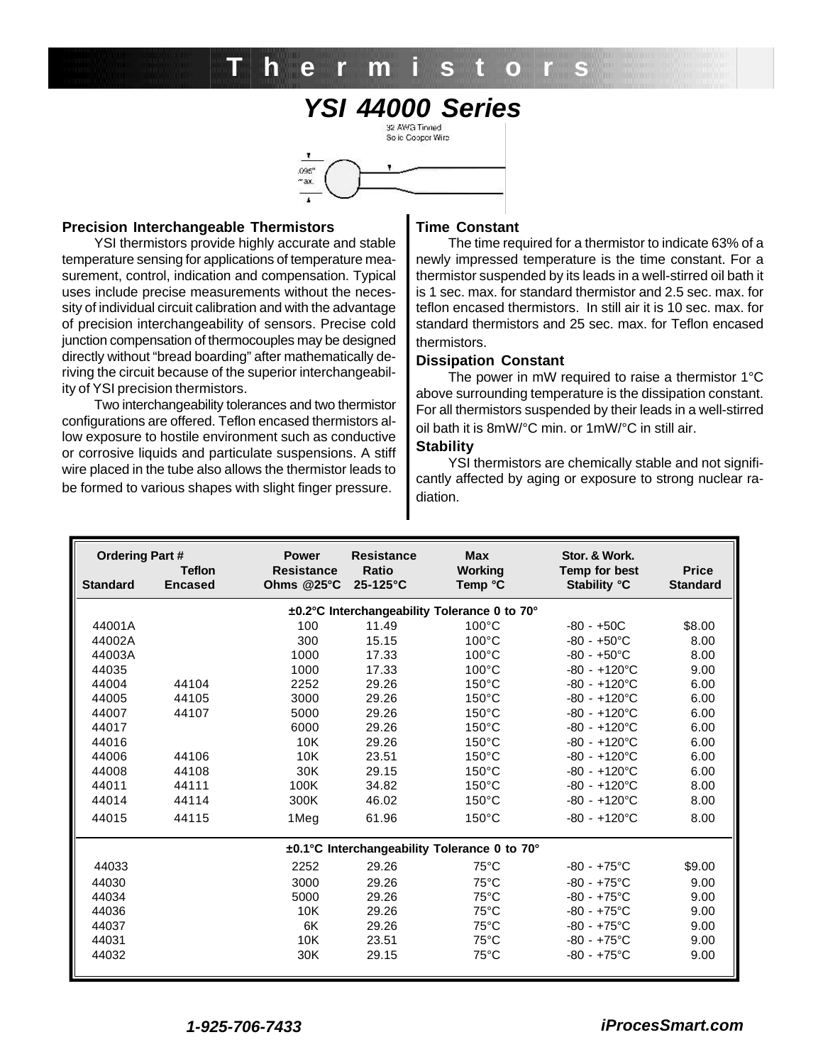# *YSI 44000 Series* **Thermistor s**



#### **Precision Interchangeable Thermistors**

YSI thermistors provide highly accurate and stable temperature sensing for applications of temperature measurement, control, indication and compensation. Typical uses include precise measurements without the necessity of individual circuit calibration and with the advantage of precision interchangeability of sensors. Precise cold junction compensation of thermocouples may be designed directly without "bread boarding" after mathematically deriving the circuit because of the superior interchangeability of YSI precision thermistors.

Two interchangeability tolerances and two thermistor configurations are offered. Teflon encased thermistors allow exposure to hostile environment such as conductive or corrosive liquids and particulate suspensions. A stiff wire placed in the tube also allows the thermistor leads to be formed to various shapes with slight finger pressure.

#### **Time Constant**

The time required for a thermistor to indicate 63% of a newly impressed temperature is the time constant. For a thermistor suspended by its leads in a well-stirred oil bath it is 1 sec. max. for standard thermistor and 2.5 sec. max. for teflon encased thermistors. In still air it is 10 sec. max. for standard thermistors and 25 sec. max. for Teflon encased thermistors.

### **Dissipation Constant**

The power in mW required to raise a thermistor 1°C above surrounding temperature is the dissipation constant. For all thermistors suspended by their leads in a well-stirred oil bath it is 8mW/°C min. or 1mW/°C in still air.

#### **Stability**

YSI thermistors are chemically stable and not significantly affected by aging or exposure to strong nuclear radiation.

| <b>Ordering Part#</b><br><b>Teflon</b>       |                | <b>Power</b><br><b>Resistance</b> | <b>Resistance</b><br><b>Ratio</b> | <b>Max</b><br>Working | Stor. & Work.<br><b>Temp for best</b> | <b>Price</b>    |  |  |  |  |
|----------------------------------------------|----------------|-----------------------------------|-----------------------------------|-----------------------|---------------------------------------|-----------------|--|--|--|--|
| <b>Standard</b>                              | <b>Encased</b> | Ohms $@25^\circ C$                | $25-125$ °C                       | Temp °C               | <b>Stability °C</b>                   | <b>Standard</b> |  |  |  |  |
| ±0.2°C Interchangeability Tolerance 0 to 70° |                |                                   |                                   |                       |                                       |                 |  |  |  |  |
| 44001A                                       |                | 100                               | 11.49                             | $100^{\circ}$ C       | $-80 - +50C$                          | \$8.00          |  |  |  |  |
| 44002A                                       |                | 300                               | 15.15                             | $100^{\circ}$ C       | $-80 - +50^{\circ}$ C                 | 8.00            |  |  |  |  |
| 44003A                                       |                | 1000                              | 17.33                             | $100^{\circ}$ C       | $-80 - +50^{\circ}$ C                 | 8.00            |  |  |  |  |
| 44035                                        |                | 1000                              | 17.33                             | $100^{\circ}$ C       | $-80 - +120$ °C                       | 9.00            |  |  |  |  |
| 44004                                        | 44104          | 2252                              | 29.26                             | $150^{\circ}$ C       | $-80 - +120^{\circ}$ C                | 6.00            |  |  |  |  |
| 44005                                        | 44105          | 3000                              | 29.26                             | $150^{\circ}$ C       | $-80 - +120^{\circ}$ C                | 6.00            |  |  |  |  |
| 44007                                        | 44107          | 5000                              | 29.26                             | $150^{\circ}$ C       | $-80 - +120^{\circ}$ C                | 6.00            |  |  |  |  |
| 44017                                        |                | 6000                              | 29.26                             | $150^{\circ}$ C       | $-80 - +120$ °C                       | 6.00            |  |  |  |  |
| 44016                                        |                | 10K                               | 29.26                             | $150^{\circ}$ C       | $-80 - +120^{\circ}$ C                | 6.00            |  |  |  |  |
| 44006                                        | 44106          | 10K                               | 23.51                             | $150^{\circ}$ C       | $-80 - +120^{\circ}$ C                | 6.00            |  |  |  |  |
| 44008                                        | 44108          | 30K                               | 29.15                             | $150^{\circ}$ C       | $-80 - +120^{\circ}$ C                | 6.00            |  |  |  |  |
| 44011                                        | 44111          | 100K                              | 34.82                             | $150^{\circ}$ C       | $-80 - +120^{\circ}C$                 | 8.00            |  |  |  |  |
| 44014                                        | 44114          | 300K                              | 46.02                             | $150^{\circ}$ C       | $-80 - +120^{\circ}$ C                | 8.00            |  |  |  |  |
| 44015                                        | 44115          | 1Meg                              | 61.96                             | $150^{\circ}$ C       | $-80 - +120$ °C                       | 8.00            |  |  |  |  |
| ±0.1°C Interchangeability Tolerance 0 to 70° |                |                                   |                                   |                       |                                       |                 |  |  |  |  |
| 44033                                        |                | 2252                              | 29.26                             | $75^{\circ}$ C        | $-80 - +75$ °C                        | \$9.00          |  |  |  |  |
| 44030                                        |                | 3000                              | 29.26                             | $75^{\circ}$ C        | $-80 - +75$ °C                        | 9.00            |  |  |  |  |
| 44034                                        |                | 5000                              | 29.26                             | $75^{\circ}$ C        | $-80 - +75$ °C                        | 9.00            |  |  |  |  |
| 44036                                        |                | 10K                               | 29.26                             | $75^{\circ}$ C        | $-80 - +75$ °C                        | 9.00            |  |  |  |  |
| 44037                                        |                | 6K                                | 29.26                             | $75^{\circ}$ C        | $-80 - +75$ °C                        | 9.00            |  |  |  |  |
| 44031                                        |                | 10K                               | 23.51                             | $75^{\circ}$ C        | $-80 - +75$ °C                        | 9.00            |  |  |  |  |
| 44032                                        |                | 30K                               | 29.15                             | $75^{\circ}$ C        | $-80 - +75$ °C                        | 9.00            |  |  |  |  |